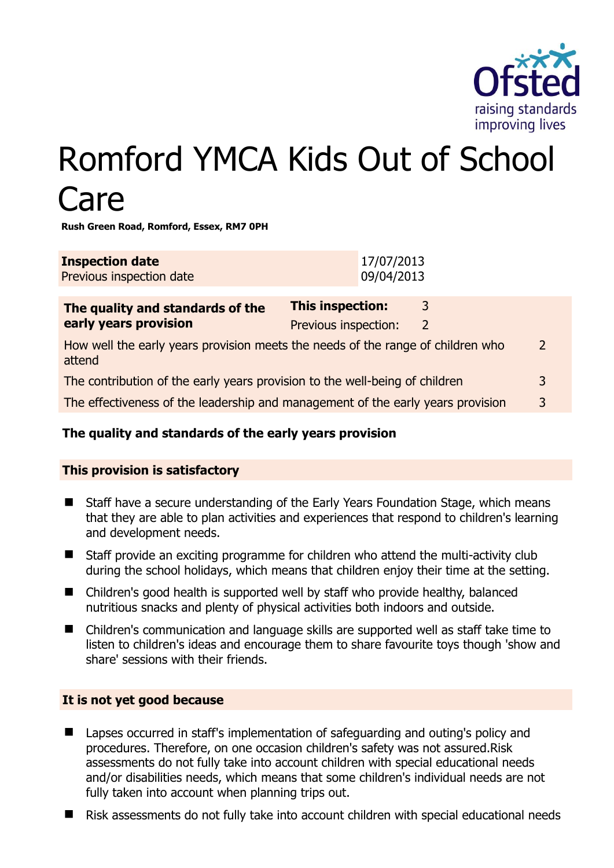

# Romford YMCA Kids Out of School Care

**Rush Green Road, Romford, Essex, RM7 0PH** 

| <b>Inspection date</b><br>Previous inspection date                                        | 17/07/2013<br>09/04/2013                        |        |               |
|-------------------------------------------------------------------------------------------|-------------------------------------------------|--------|---------------|
| The quality and standards of the<br>early years provision                                 | <b>This inspection:</b><br>Previous inspection: | 3<br>2 |               |
| How well the early years provision meets the needs of the range of children who<br>attend |                                                 |        | $\mathcal{P}$ |
| The contribution of the early years provision to the well-being of children               |                                                 |        | 3             |
| The effectiveness of the leadership and management of the early years provision           |                                                 |        | 3             |
|                                                                                           |                                                 |        |               |

# **The quality and standards of the early years provision**

# **This provision is satisfactory**

- Staff have a secure understanding of the Early Years Foundation Stage, which means that they are able to plan activities and experiences that respond to children's learning and development needs.
- Staff provide an exciting programme for children who attend the multi-activity club during the school holidays, which means that children enjoy their time at the setting.
- Children's good health is supported well by staff who provide healthy, balanced nutritious snacks and plenty of physical activities both indoors and outside.
- Children's communication and language skills are supported well as staff take time to listen to children's ideas and encourage them to share favourite toys though 'show and share' sessions with their friends.

#### **It is not yet good because**

- Lapses occurred in staff's implementation of safeguarding and outing's policy and procedures. Therefore, on one occasion children's safety was not assured.Risk assessments do not fully take into account children with special educational needs and/or disabilities needs, which means that some children's individual needs are not fully taken into account when planning trips out.
- Risk assessments do not fully take into account children with special educational needs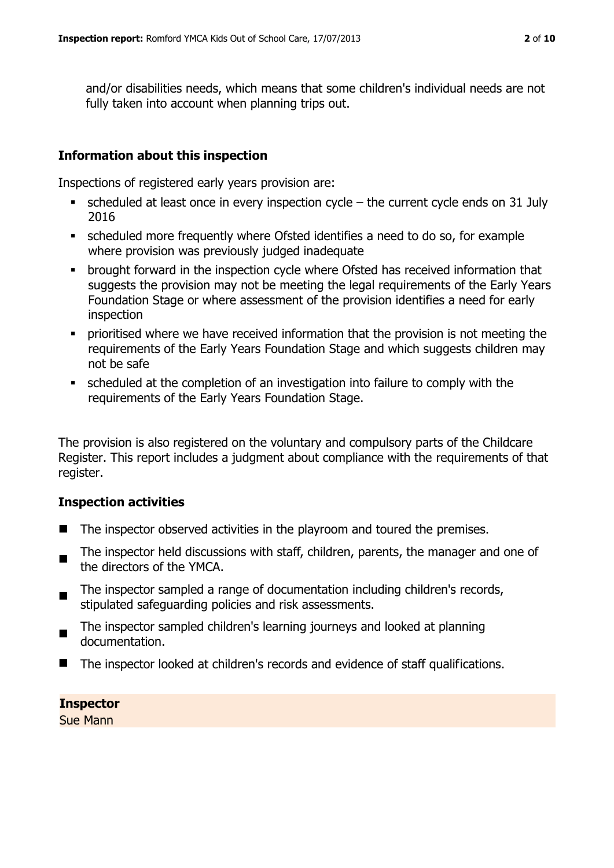and/or disabilities needs, which means that some children's individual needs are not fully taken into account when planning trips out.

#### **Information about this inspection**

Inspections of registered early years provision are:

- scheduled at least once in every inspection cycle the current cycle ends on 31 July 2016
- scheduled more frequently where Ofsted identifies a need to do so, for example where provision was previously judged inadequate
- brought forward in the inspection cycle where Ofsted has received information that suggests the provision may not be meeting the legal requirements of the Early Years Foundation Stage or where assessment of the provision identifies a need for early inspection
- prioritised where we have received information that the provision is not meeting the requirements of the Early Years Foundation Stage and which suggests children may not be safe
- scheduled at the completion of an investigation into failure to comply with the requirements of the Early Years Foundation Stage.

The provision is also registered on the voluntary and compulsory parts of the Childcare Register. This report includes a judgment about compliance with the requirements of that register.

#### **Inspection activities**

- The inspector observed activities in the playroom and toured the premises.
- $\blacksquare$ The inspector held discussions with staff, children, parents, the manager and one of the directors of the YMCA.
- $\blacksquare$ The inspector sampled a range of documentation including children's records, stipulated safeguarding policies and risk assessments.
- The inspector sampled children's learning journeys and looked at planning documentation.
- The inspector looked at children's records and evidence of staff qualifications.

**Inspector**  Sue Mann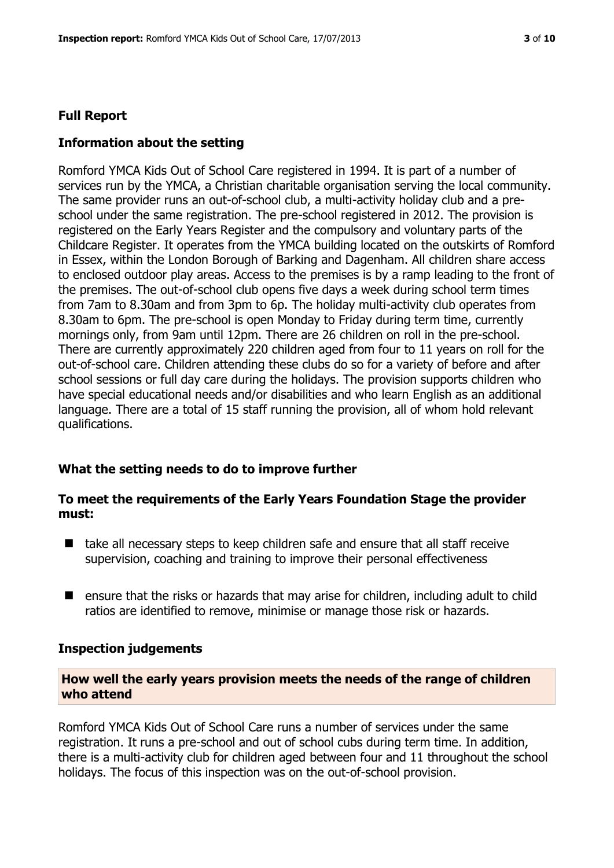# **Full Report**

# **Information about the setting**

Romford YMCA Kids Out of School Care registered in 1994. It is part of a number of services run by the YMCA, a Christian charitable organisation serving the local community. The same provider runs an out-of-school club, a multi-activity holiday club and a preschool under the same registration. The pre-school registered in 2012. The provision is registered on the Early Years Register and the compulsory and voluntary parts of the Childcare Register. It operates from the YMCA building located on the outskirts of Romford in Essex, within the London Borough of Barking and Dagenham. All children share access to enclosed outdoor play areas. Access to the premises is by a ramp leading to the front of the premises. The out-of-school club opens five days a week during school term times from 7am to 8.30am and from 3pm to 6p. The holiday multi-activity club operates from 8.30am to 6pm. The pre-school is open Monday to Friday during term time, currently mornings only, from 9am until 12pm. There are 26 children on roll in the pre-school. There are currently approximately 220 children aged from four to 11 years on roll for the out-of-school care. Children attending these clubs do so for a variety of before and after school sessions or full day care during the holidays. The provision supports children who have special educational needs and/or disabilities and who learn English as an additional language. There are a total of 15 staff running the provision, all of whom hold relevant qualifications.

#### **What the setting needs to do to improve further**

# **To meet the requirements of the Early Years Foundation Stage the provider must:**

- take all necessary steps to keep children safe and ensure that all staff receive supervision, coaching and training to improve their personal effectiveness
- ensure that the risks or hazards that may arise for children, including adult to child ratios are identified to remove, minimise or manage those risk or hazards.

#### **Inspection judgements**

#### **How well the early years provision meets the needs of the range of children who attend**

Romford YMCA Kids Out of School Care runs a number of services under the same registration. It runs a pre-school and out of school cubs during term time. In addition, there is a multi-activity club for children aged between four and 11 throughout the school holidays. The focus of this inspection was on the out-of-school provision.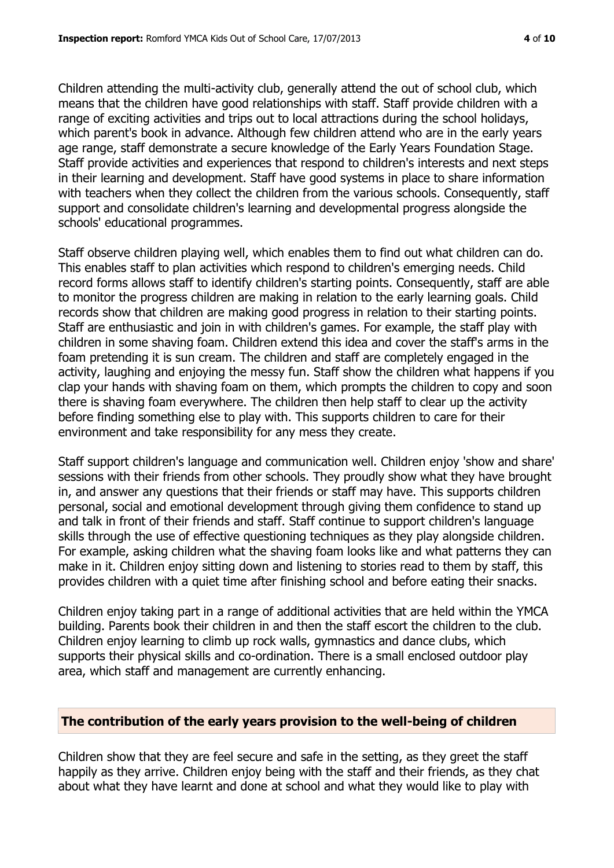Children attending the multi-activity club, generally attend the out of school club, which means that the children have good relationships with staff. Staff provide children with a range of exciting activities and trips out to local attractions during the school holidays, which parent's book in advance. Although few children attend who are in the early years age range, staff demonstrate a secure knowledge of the Early Years Foundation Stage. Staff provide activities and experiences that respond to children's interests and next steps in their learning and development. Staff have good systems in place to share information with teachers when they collect the children from the various schools. Consequently, staff support and consolidate children's learning and developmental progress alongside the schools' educational programmes.

Staff observe children playing well, which enables them to find out what children can do. This enables staff to plan activities which respond to children's emerging needs. Child record forms allows staff to identify children's starting points. Consequently, staff are able to monitor the progress children are making in relation to the early learning goals. Child records show that children are making good progress in relation to their starting points. Staff are enthusiastic and join in with children's games. For example, the staff play with children in some shaving foam. Children extend this idea and cover the staff's arms in the foam pretending it is sun cream. The children and staff are completely engaged in the activity, laughing and enjoying the messy fun. Staff show the children what happens if you clap your hands with shaving foam on them, which prompts the children to copy and soon there is shaving foam everywhere. The children then help staff to clear up the activity before finding something else to play with. This supports children to care for their environment and take responsibility for any mess they create.

Staff support children's language and communication well. Children enjoy 'show and share' sessions with their friends from other schools. They proudly show what they have brought in, and answer any questions that their friends or staff may have. This supports children personal, social and emotional development through giving them confidence to stand up and talk in front of their friends and staff. Staff continue to support children's language skills through the use of effective questioning techniques as they play alongside children. For example, asking children what the shaving foam looks like and what patterns they can make in it. Children enjoy sitting down and listening to stories read to them by staff, this provides children with a quiet time after finishing school and before eating their snacks.

Children enjoy taking part in a range of additional activities that are held within the YMCA building. Parents book their children in and then the staff escort the children to the club. Children enjoy learning to climb up rock walls, gymnastics and dance clubs, which supports their physical skills and co-ordination. There is a small enclosed outdoor play area, which staff and management are currently enhancing.

#### **The contribution of the early years provision to the well-being of children**

Children show that they are feel secure and safe in the setting, as they greet the staff happily as they arrive. Children enjoy being with the staff and their friends, as they chat about what they have learnt and done at school and what they would like to play with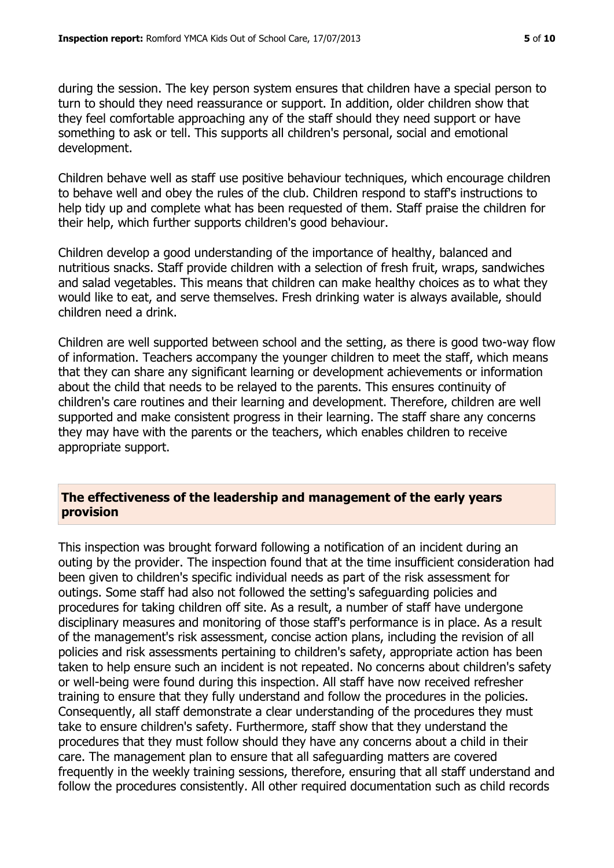during the session. The key person system ensures that children have a special person to turn to should they need reassurance or support. In addition, older children show that they feel comfortable approaching any of the staff should they need support or have something to ask or tell. This supports all children's personal, social and emotional development.

Children behave well as staff use positive behaviour techniques, which encourage children to behave well and obey the rules of the club. Children respond to staff's instructions to help tidy up and complete what has been requested of them. Staff praise the children for their help, which further supports children's good behaviour.

Children develop a good understanding of the importance of healthy, balanced and nutritious snacks. Staff provide children with a selection of fresh fruit, wraps, sandwiches and salad vegetables. This means that children can make healthy choices as to what they would like to eat, and serve themselves. Fresh drinking water is always available, should children need a drink.

Children are well supported between school and the setting, as there is good two-way flow of information. Teachers accompany the younger children to meet the staff, which means that they can share any significant learning or development achievements or information about the child that needs to be relayed to the parents. This ensures continuity of children's care routines and their learning and development. Therefore, children are well supported and make consistent progress in their learning. The staff share any concerns they may have with the parents or the teachers, which enables children to receive appropriate support.

# **The effectiveness of the leadership and management of the early years provision**

This inspection was brought forward following a notification of an incident during an outing by the provider. The inspection found that at the time insufficient consideration had been given to children's specific individual needs as part of the risk assessment for outings. Some staff had also not followed the setting's safeguarding policies and procedures for taking children off site. As a result, a number of staff have undergone disciplinary measures and monitoring of those staff's performance is in place. As a result of the management's risk assessment, concise action plans, including the revision of all policies and risk assessments pertaining to children's safety, appropriate action has been taken to help ensure such an incident is not repeated. No concerns about children's safety or well-being were found during this inspection. All staff have now received refresher training to ensure that they fully understand and follow the procedures in the policies. Consequently, all staff demonstrate a clear understanding of the procedures they must take to ensure children's safety. Furthermore, staff show that they understand the procedures that they must follow should they have any concerns about a child in their care. The management plan to ensure that all safeguarding matters are covered frequently in the weekly training sessions, therefore, ensuring that all staff understand and follow the procedures consistently. All other required documentation such as child records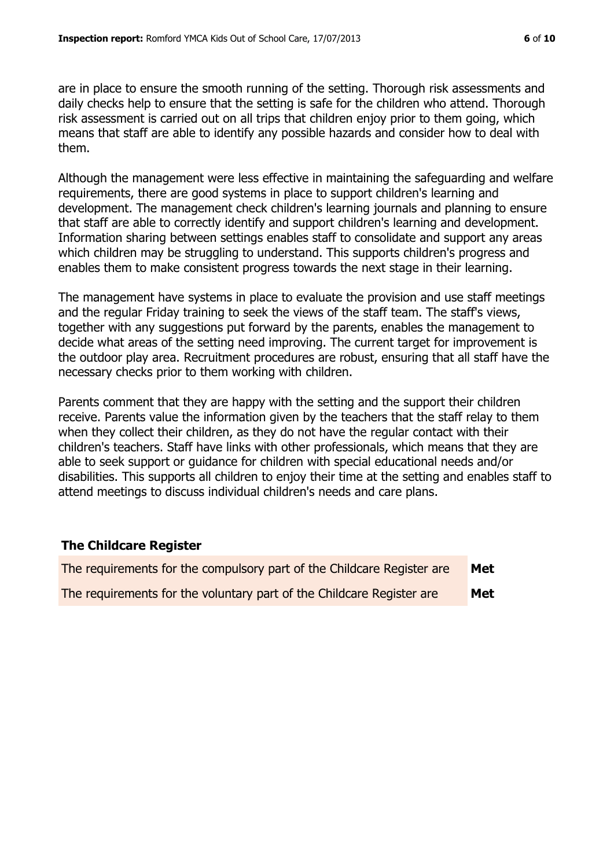are in place to ensure the smooth running of the setting. Thorough risk assessments and daily checks help to ensure that the setting is safe for the children who attend. Thorough risk assessment is carried out on all trips that children enjoy prior to them going, which means that staff are able to identify any possible hazards and consider how to deal with them.

Although the management were less effective in maintaining the safeguarding and welfare requirements, there are good systems in place to support children's learning and development. The management check children's learning journals and planning to ensure that staff are able to correctly identify and support children's learning and development. Information sharing between settings enables staff to consolidate and support any areas which children may be struggling to understand. This supports children's progress and enables them to make consistent progress towards the next stage in their learning.

The management have systems in place to evaluate the provision and use staff meetings and the regular Friday training to seek the views of the staff team. The staff's views, together with any suggestions put forward by the parents, enables the management to decide what areas of the setting need improving. The current target for improvement is the outdoor play area. Recruitment procedures are robust, ensuring that all staff have the necessary checks prior to them working with children.

Parents comment that they are happy with the setting and the support their children receive. Parents value the information given by the teachers that the staff relay to them when they collect their children, as they do not have the regular contact with their children's teachers. Staff have links with other professionals, which means that they are able to seek support or guidance for children with special educational needs and/or disabilities. This supports all children to enjoy their time at the setting and enables staff to attend meetings to discuss individual children's needs and care plans.

#### **The Childcare Register**

| The requirements for the compulsory part of the Childcare Register are | Met |
|------------------------------------------------------------------------|-----|
| The requirements for the voluntary part of the Childcare Register are  | Met |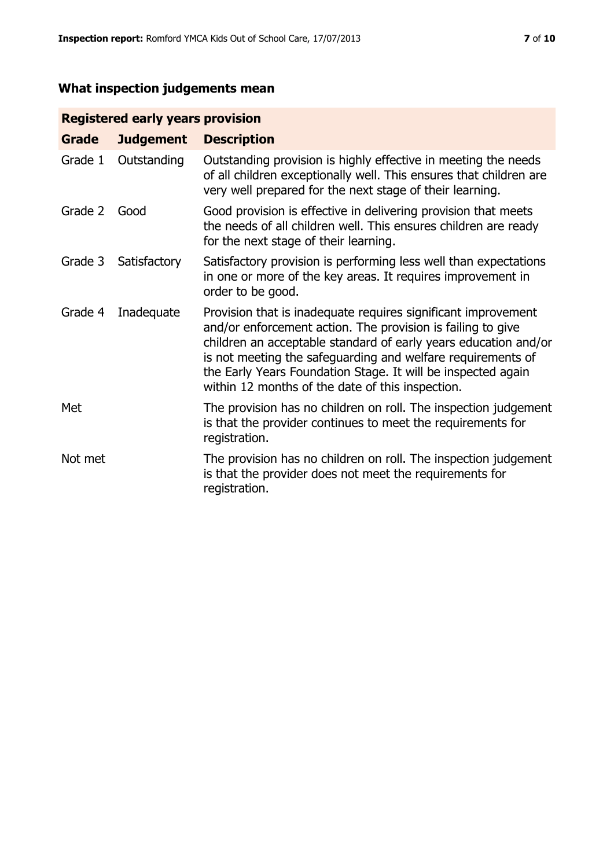# **What inspection judgements mean**

# **Registered early years provision**

| Grade   | <b>Judgement</b> | <b>Description</b>                                                                                                                                                                                                                                                                                                                                                                 |
|---------|------------------|------------------------------------------------------------------------------------------------------------------------------------------------------------------------------------------------------------------------------------------------------------------------------------------------------------------------------------------------------------------------------------|
| Grade 1 | Outstanding      | Outstanding provision is highly effective in meeting the needs<br>of all children exceptionally well. This ensures that children are<br>very well prepared for the next stage of their learning.                                                                                                                                                                                   |
| Grade 2 | Good             | Good provision is effective in delivering provision that meets<br>the needs of all children well. This ensures children are ready<br>for the next stage of their learning.                                                                                                                                                                                                         |
| Grade 3 | Satisfactory     | Satisfactory provision is performing less well than expectations<br>in one or more of the key areas. It requires improvement in<br>order to be good.                                                                                                                                                                                                                               |
| Grade 4 | Inadequate       | Provision that is inadequate requires significant improvement<br>and/or enforcement action. The provision is failing to give<br>children an acceptable standard of early years education and/or<br>is not meeting the safeguarding and welfare requirements of<br>the Early Years Foundation Stage. It will be inspected again<br>within 12 months of the date of this inspection. |
| Met     |                  | The provision has no children on roll. The inspection judgement<br>is that the provider continues to meet the requirements for<br>registration.                                                                                                                                                                                                                                    |
| Not met |                  | The provision has no children on roll. The inspection judgement<br>is that the provider does not meet the requirements for<br>registration.                                                                                                                                                                                                                                        |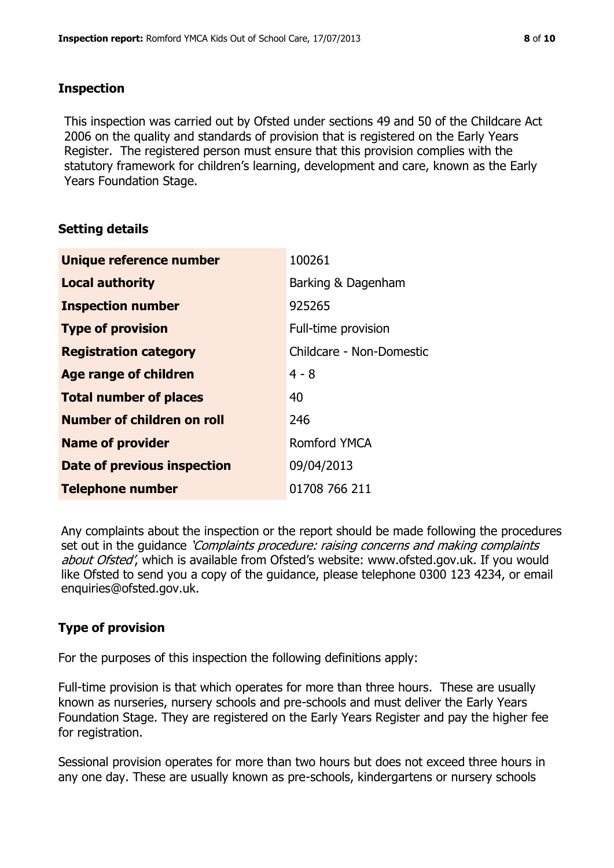#### **Inspection**

This inspection was carried out by Ofsted under sections 49 and 50 of the Childcare Act 2006 on the quality and standards of provision that is registered on the Early Years Register. The registered person must ensure that this provision complies with the statutory framework for children's learning, development and care, known as the Early Years Foundation Stage.

# **Setting details**

| Unique reference number       | 100261                   |
|-------------------------------|--------------------------|
| <b>Local authority</b>        | Barking & Dagenham       |
| <b>Inspection number</b>      | 925265                   |
| <b>Type of provision</b>      | Full-time provision      |
| <b>Registration category</b>  | Childcare - Non-Domestic |
| <b>Age range of children</b>  | $4 - 8$                  |
| <b>Total number of places</b> | 40                       |
| Number of children on roll    | 246                      |
| <b>Name of provider</b>       | Romford YMCA             |
| Date of previous inspection   | 09/04/2013               |
| <b>Telephone number</b>       | 01708 766 211            |

Any complaints about the inspection or the report should be made following the procedures set out in the guidance *'Complaints procedure: raising concerns and making complaints* about Ofsted', which is available from Ofsted's website: www.ofsted.gov.uk. If you would like Ofsted to send you a copy of the guidance, please telephone 0300 123 4234, or email enquiries@ofsted.gov.uk.

# **Type of provision**

For the purposes of this inspection the following definitions apply:

Full-time provision is that which operates for more than three hours. These are usually known as nurseries, nursery schools and pre-schools and must deliver the Early Years Foundation Stage. They are registered on the Early Years Register and pay the higher fee for registration.

Sessional provision operates for more than two hours but does not exceed three hours in any one day. These are usually known as pre-schools, kindergartens or nursery schools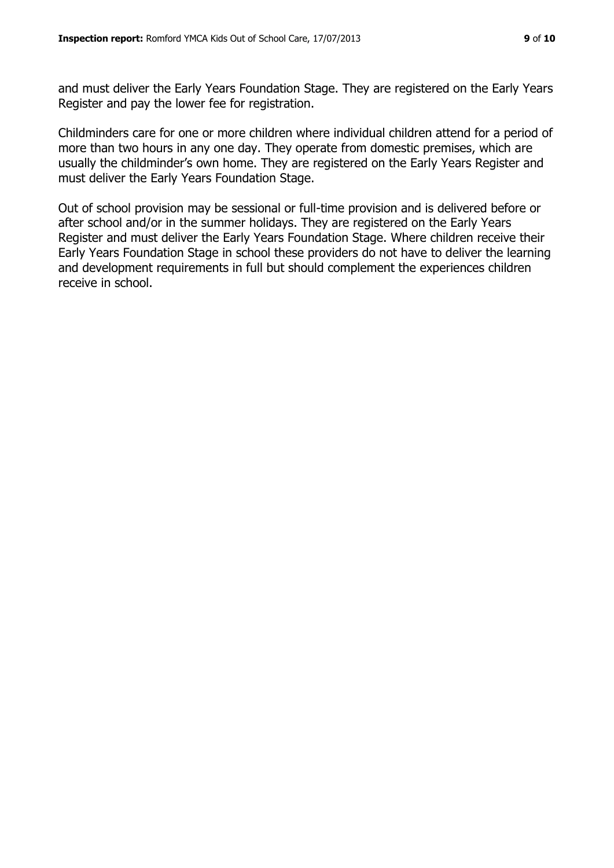and must deliver the Early Years Foundation Stage. They are registered on the Early Years Register and pay the lower fee for registration.

Childminders care for one or more children where individual children attend for a period of more than two hours in any one day. They operate from domestic premises, which are usually the childminder's own home. They are registered on the Early Years Register and must deliver the Early Years Foundation Stage.

Out of school provision may be sessional or full-time provision and is delivered before or after school and/or in the summer holidays. They are registered on the Early Years Register and must deliver the Early Years Foundation Stage. Where children receive their Early Years Foundation Stage in school these providers do not have to deliver the learning and development requirements in full but should complement the experiences children receive in school.